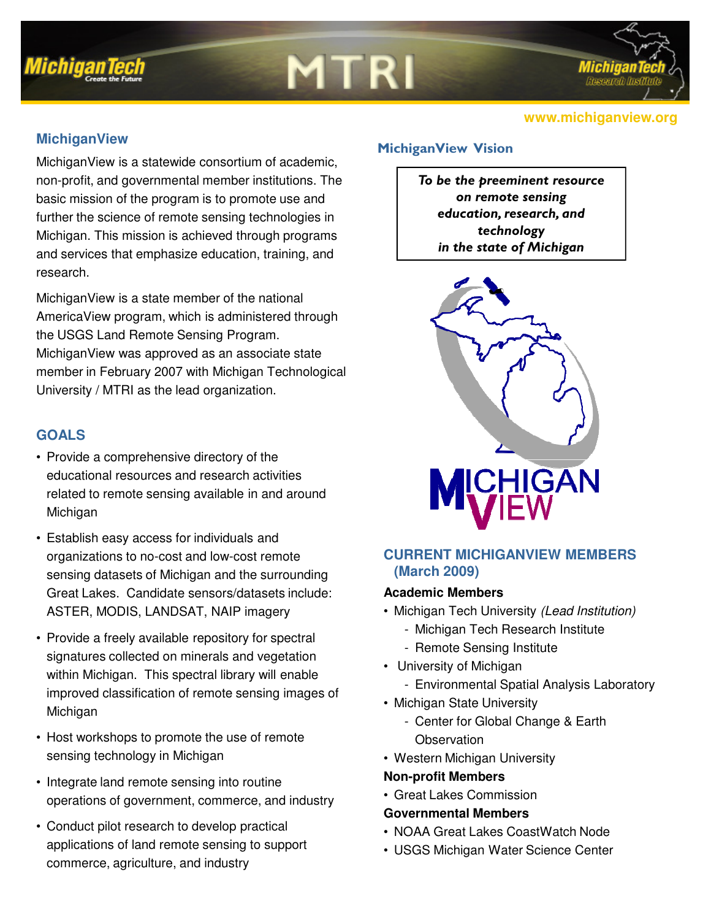

# **MTRI**

## **MichiganView**

MichiganView is a statewide consortium of academic, non-profit, and governmental member institutions. The basic mission of the program is to promote use and further the science of remote sensing technologies in Michigan. This mission is achieved through programs and services that emphasize education, training, and research.

MichiganView is a state member of the national AmericaView program, which is administered through the USGS Land Remote Sensing Program. MichiganView was approved as an associate state member in February 2007 with Michigan Technological University / MTRI as the lead organization.

# **GOALS**

- Provide a comprehensive directory of the educational resources and research activities related to remote sensing available in and around Michigan
- Establish easy access for individuals and organizations to no-cost and low-cost remote sensing datasets of Michigan and the surrounding Great Lakes. Candidate sensors/datasets include: ASTER, MODIS, LANDSAT, NAIP imagery
- Provide a freely available repository for spectral signatures collected on minerals and vegetation within Michigan. This spectral library will enable improved classification of remote sensing images of Michigan
- Host workshops to promote the use of remote sensing technology in Michigan
- Integrate land remote sensing into routine operations of government, commerce, and industry
- Conduct pilot research to develop practical applications of land remote sensing to support commerce, agriculture, and industry

### MichiganView Vision

To be the preeminent resource on remote sensing education, research, and technology in the state of Michigan



# **CURRENT MICHIGANVIEW MEMBERS (March 2009)**

#### **Academic Members**

- Michigan Tech University (Lead Institution)
	- Michigan Tech Research Institute
	- Remote Sensing Institute
- University of Michigan
	- Environmental Spatial Analysis Laboratory
- Michigan State University
	- Center for Global Change & Earth **Observation**
- Western Michigan University

#### **Non-profit Members**

• Great Lakes Commission

### **Governmental Members**

- NOAA Great Lakes CoastWatch Node
- USGS Michigan Water Science Center